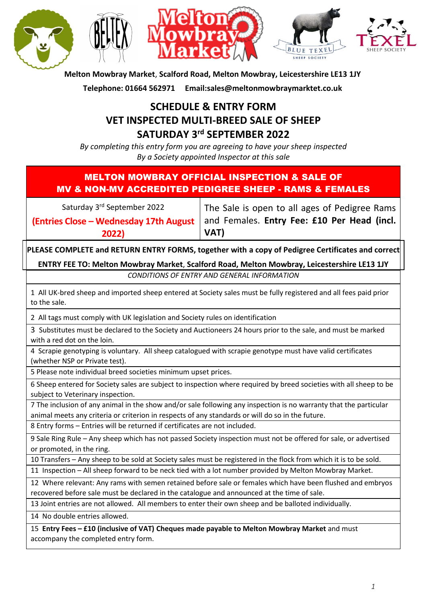

**Melton Mowbray Market**, **Scalford Road, Melton Mowbray, Leicestershire LE13 1JY**

**Telephone: 01664 562971 Email:sales@meltonmowbraymarktet.co.uk**

# **SCHEDULE & ENTRY FORM VET INSPECTED MULTI-BREED SALE OF SHEEP SATURDAY 3 rd SEPTEMBER 2022**

*By completing this entry form you are agreeing to have your sheep inspected By a Society appointed Inspector at this sale*

### MELTON MOWBRAY OFFICIAL INSPECTION & SALE OF MV & NON-MV ACCREDITED PEDIGREE SHEEP - RAMS & FEMALES

Saturday 3<sup>rd</sup> September 2022

**(Entries Close – Wednesday 17th August 2022)**

The Sale is open to all ages of Pedigree Rams and Females. **Entry Fee: £10 Per Head (incl. VAT)**

**PLEASE COMPLETE and RETURN ENTRY FORMS, together with a copy of Pedigree Certificates and correct ENTRY FEE TO: Melton Mowbray Market**, **Scalford Road, Melton Mowbray, Leicestershire LE13 1JY**

*CONDITIONS OF ENTRY AND GENERAL INFORMATION*

1 All UK-bred sheep and imported sheep entered at Society sales must be fully registered and all fees paid prior to the sale.

2 All tags must comply with UK legislation and Society rules on identification

3 Substitutes must be declared to the Society and Auctioneers 24 hours prior to the sale, and must be marked with a red dot on the loin.

4 Scrapie genotyping is voluntary. All sheep catalogued with scrapie genotype must have valid certificates (whether NSP or Private test).

5 Please note individual breed societies minimum upset prices.

6 Sheep entered for Society sales are subject to inspection where required by breed societies with all sheep to be subject to Veterinary inspection.

7 The inclusion of any animal in the show and/or sale following any inspection is no warranty that the particular animal meets any criteria or criterion in respects of any standards or will do so in the future.

8 Entry forms – Entries will be returned if certificates are not included.

9 Sale Ring Rule – Any sheep which has not passed Society inspection must not be offered for sale, or advertised or promoted, in the ring.

10 Transfers – Any sheep to be sold at Society sales must be registered in the flock from which it is to be sold.

11 Inspection – All sheep forward to be neck tied with a lot number provided by Melton Mowbray Market.

12 Where relevant: Any rams with semen retained before sale or females which have been flushed and embryos recovered before sale must be declared in the catalogue and announced at the time of sale.

13 Joint entries are not allowed. All members to enter their own sheep and be balloted individually.

14 No double entries allowed.

15 **Entry Fees – £10 (inclusive of VAT) Cheques made payable to Melton Mowbray Market** and must accompany the completed entry form.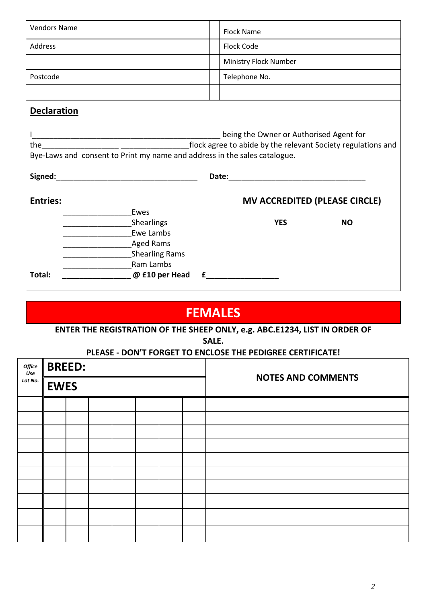| <b>Vendors Name</b>                                                                                                  | <b>Flock Name</b>                    |  |  |  |  |  |  |  |
|----------------------------------------------------------------------------------------------------------------------|--------------------------------------|--|--|--|--|--|--|--|
| Address                                                                                                              | <b>Flock Code</b>                    |  |  |  |  |  |  |  |
|                                                                                                                      | Ministry Flock Number                |  |  |  |  |  |  |  |
| Postcode                                                                                                             | Telephone No.                        |  |  |  |  |  |  |  |
|                                                                                                                      |                                      |  |  |  |  |  |  |  |
| <b>Declaration</b>                                                                                                   |                                      |  |  |  |  |  |  |  |
| being the Owner or Authorised Agent for<br>Bye-Laws and consent to Print my name and address in the sales catalogue. |                                      |  |  |  |  |  |  |  |
| <b>Entries:</b>                                                                                                      | <b>MV ACCREDITED (PLEASE CIRCLE)</b> |  |  |  |  |  |  |  |
| Ewes<br>Shearlings<br>Ewe Lambs<br><b>Aged Rams</b><br><b>Shearling Rams</b><br>Ram Lambs                            | <b>YES</b><br><b>NO</b>              |  |  |  |  |  |  |  |
| Total:<br>@ £10 per Head                                                                                             |                                      |  |  |  |  |  |  |  |

# **FEMALES**

## **ENTER THE REGISTRATION OF THE SHEEP ONLY, e.g. ABC.E1234, LIST IN ORDER OF**

**SALE.**

#### **PLEASE - DON'T FORGET TO ENCLOSE THE PEDIGREE CERTIFICATE!**

| Office<br>Use | <b>BREED:</b> |  |  |  | <b>NOTES AND COMMENTS</b> |  |
|---------------|---------------|--|--|--|---------------------------|--|
| Lot No.       | <b>EWES</b>   |  |  |  |                           |  |
|               |               |  |  |  |                           |  |
|               |               |  |  |  |                           |  |
|               |               |  |  |  |                           |  |
|               |               |  |  |  |                           |  |
|               |               |  |  |  |                           |  |
|               |               |  |  |  |                           |  |
|               |               |  |  |  |                           |  |
|               |               |  |  |  |                           |  |
|               |               |  |  |  |                           |  |
|               |               |  |  |  |                           |  |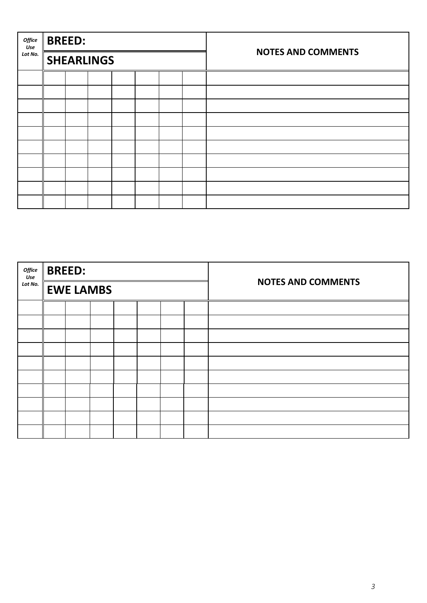| Office<br>Use | <b>BREED:</b> |                   |  |  | <b>NOTES AND COMMENTS</b> |
|---------------|---------------|-------------------|--|--|---------------------------|
| Lot No.       |               | <b>SHEARLINGS</b> |  |  |                           |
|               |               |                   |  |  |                           |
|               |               |                   |  |  |                           |
|               |               |                   |  |  |                           |
|               |               |                   |  |  |                           |
|               |               |                   |  |  |                           |
|               |               |                   |  |  |                           |
|               |               |                   |  |  |                           |
|               |               |                   |  |  |                           |
|               |               |                   |  |  |                           |
|               |               |                   |  |  |                           |

| Office<br>Use<br>Lot No. |  | <b>BREED:</b>    |  |  |  |  |  | <b>NOTES AND COMMENTS</b> |
|--------------------------|--|------------------|--|--|--|--|--|---------------------------|
|                          |  | <b>EWE LAMBS</b> |  |  |  |  |  |                           |
|                          |  |                  |  |  |  |  |  |                           |
|                          |  |                  |  |  |  |  |  |                           |
|                          |  |                  |  |  |  |  |  |                           |
|                          |  |                  |  |  |  |  |  |                           |
|                          |  |                  |  |  |  |  |  |                           |
|                          |  |                  |  |  |  |  |  |                           |
|                          |  |                  |  |  |  |  |  |                           |
|                          |  |                  |  |  |  |  |  |                           |
|                          |  |                  |  |  |  |  |  |                           |
|                          |  |                  |  |  |  |  |  |                           |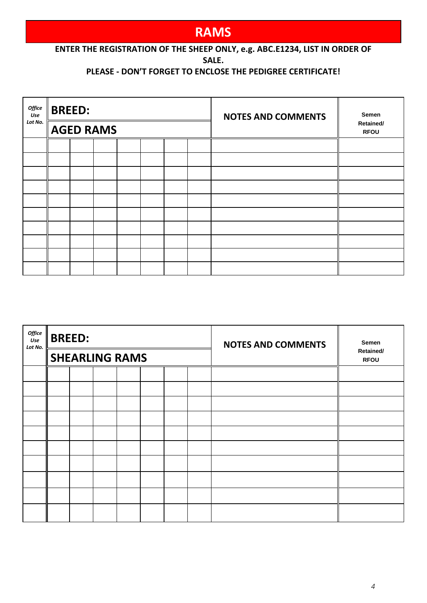# **RAMS**

#### **ENTER THE REGISTRATION OF THE SHEEP ONLY, e.g. ABC.E1234, LIST IN ORDER OF SALE.**

### **PLEASE - DON'T FORGET TO ENCLOSE THE PEDIGREE CERTIFICATE!**

| Office<br>Use | <b>BREED:</b> |                  |  |  | <b>NOTES AND COMMENTS</b> | Semen                    |
|---------------|---------------|------------------|--|--|---------------------------|--------------------------|
| Lot No.       |               | <b>AGED RAMS</b> |  |  |                           | Retained/<br><b>RFOU</b> |
|               |               |                  |  |  |                           |                          |
|               |               |                  |  |  |                           |                          |
|               |               |                  |  |  |                           |                          |
|               |               |                  |  |  |                           |                          |
|               |               |                  |  |  |                           |                          |
|               |               |                  |  |  |                           |                          |
|               |               |                  |  |  |                           |                          |
|               |               |                  |  |  |                           |                          |
|               |               |                  |  |  |                           |                          |
|               |               |                  |  |  |                           |                          |

| Office<br>Use<br>Lot No. | <b>BREED:</b> |                       |  |  | <b>NOTES AND COMMENTS</b> | Semen                    |
|--------------------------|---------------|-----------------------|--|--|---------------------------|--------------------------|
|                          |               | <b>SHEARLING RAMS</b> |  |  |                           | Retained/<br><b>RFOU</b> |
|                          |               |                       |  |  |                           |                          |
|                          |               |                       |  |  |                           |                          |
|                          |               |                       |  |  |                           |                          |
|                          |               |                       |  |  |                           |                          |
|                          |               |                       |  |  |                           |                          |
|                          |               |                       |  |  |                           |                          |
|                          |               |                       |  |  |                           |                          |
|                          |               |                       |  |  |                           |                          |
|                          |               |                       |  |  |                           |                          |
|                          |               |                       |  |  |                           |                          |